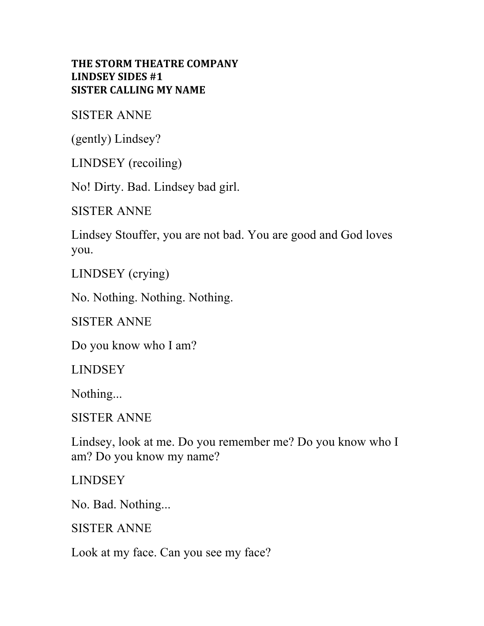## **THE STORM THEATRE COMPANY LINDSEY SIDES #1 SISTER CALLING MY NAME**

SISTER ANNE

(gently) Lindsey?

LINDSEY (recoiling)

No! Dirty. Bad. Lindsey bad girl.

SISTER ANNE

Lindsey Stouffer, you are not bad. You are good and God loves you.

LINDSEY (crying)

No. Nothing. Nothing. Nothing.

SISTER ANNE

Do you know who I am?

**LINDSEY** 

Nothing...

SISTER ANNE

Lindsey, look at me. Do you remember me? Do you know who I am? Do you know my name?

LINDSEY

No. Bad. Nothing...

SISTER ANNE

Look at my face. Can you see my face?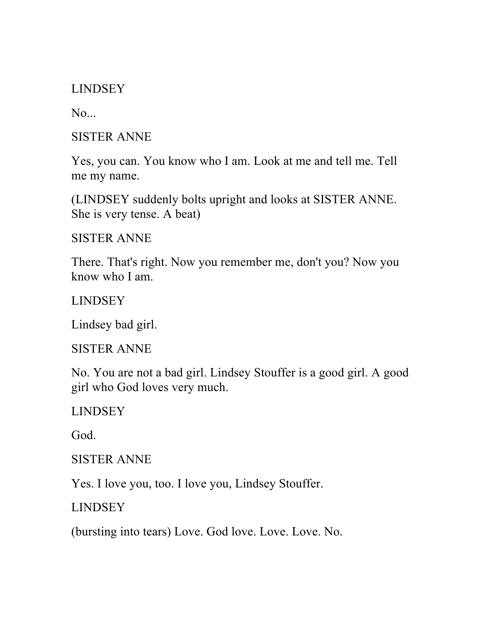LINDSEY

 $No...$ 

SISTER ANNE

Yes, you can. You know who I am. Look at me and tell me. Tell me my name.

(LINDSEY suddenly bolts upright and looks at SISTER ANNE. She is very tense. A beat)

SISTER ANNE

There. That's right. Now you remember me, don't you? Now you know who I am.

LINDSEY

Lindsey bad girl.

SISTER ANNE

No. You are not a bad girl. Lindsey Stouffer is a good girl. A good girl who God loves very much.

LINDSEY

God.

SISTER ANNE

Yes. I love you, too. I love you, Lindsey Stouffer.

LINDSEY

(bursting into tears) Love. God love. Love. Love. No.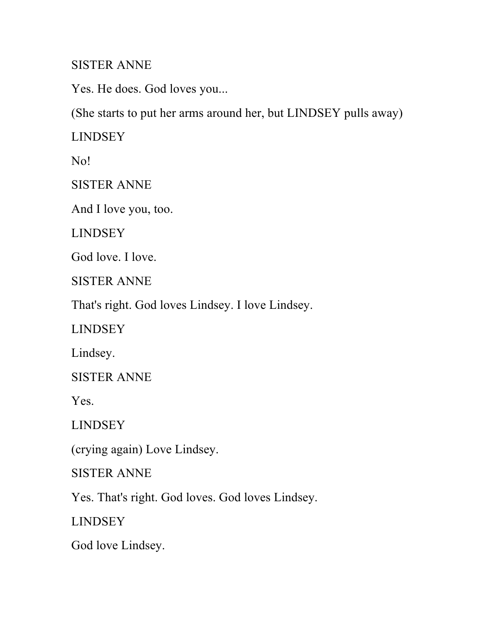## SISTER ANNE

Yes. He does. God loves you...

(She starts to put her arms around her, but LINDSEY pulls away)

LINDSEY

No!

SISTER ANNE

And I love you, too.

LINDSEY

God love. I love.

SISTER ANNE

That's right. God loves Lindsey. I love Lindsey.

LINDSEY

Lindsey.

SISTER ANNE

Yes.

LINDSEY

(crying again) Love Lindsey.

SISTER ANNE

Yes. That's right. God loves. God loves Lindsey.

LINDSEY

God love Lindsey.